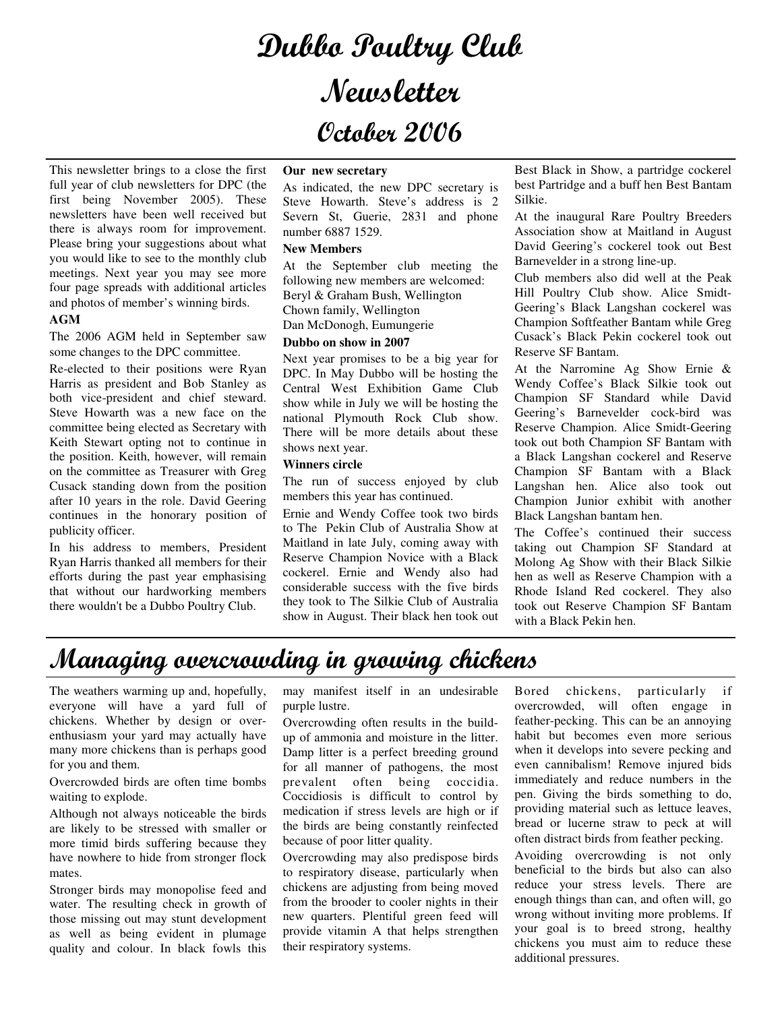# Dubbo Poultry Club Newsletter October 2006

This newsletter brings to a close the first full year of club newsletters for DPC (the first being November 2005). These newsletters have been well received but there is always room for improvement. Please bring your suggestions about what you would like to see to the monthly club meetings. Next year you may see more four page spreads with additional articles and photos of member's winning birds.

### **AGM**

The 2006 AGM held in September saw some changes to the DPC committee.

Re-elected to their positions were Ryan Harris as president and Bob Stanley as both vice-president and chief steward. Steve Howarth was a new face on the committee being elected as Secretary with Keith Stewart opting not to continue in the position. Keith, however, will remain on the committee as Treasurer with Greg Cusack standing down from the position after 10 years in the role. David Geering continues in the honorary position of publicity officer.

In his address to members, President Ryan Harris thanked all members for their efforts during the past year emphasising that without our hardworking members there wouldn't be a Dubbo Poultry Club.

#### **Our new secretary**

As indicated, the new DPC secretary is Steve Howarth. Steve's address is 2 Severn St, Guerie, 2831 and phone number 6887 1529.

#### **New Members**

At the September club meeting the following new members are welcomed: Beryl & Graham Bush, Wellington Chown family, Wellington Dan McDonogh, Eumungerie

### **Dubbo on show in 2007**

Next year promises to be a big year for DPC. In May Dubbo will be hosting the Central West Exhibition Game Club show while in July we will be hosting the national Plymouth Rock Club show. There will be more details about these shows next year.

#### **Winners circle**

The run of success enjoyed by club members this year has continued.

Ernie and Wendy Coffee took two birds to The Pekin Club of Australia Show at Maitland in late July, coming away with Reserve Champion Novice with a Black cockerel. Ernie and Wendy also had considerable success with the five birds they took to The Silkie Club of Australia show in August. Their black hen took out Best Black in Show, a partridge cockerel best Partridge and a buff hen Best Bantam Silkie.

At the inaugural Rare Poultry Breeders Association show at Maitland in August David Geering's cockerel took out Best Barnevelder in a strong line-up.

Club members also did well at the Peak Hill Poultry Club show. Alice Smidt-Geering's Black Langshan cockerel was Champion Softfeather Bantam while Greg Cusack's Black Pekin cockerel took out Reserve SF Bantam.

At the Narromine Ag Show Ernie & Wendy Coffee's Black Silkie took out Champion SF Standard while David Geering's Barnevelder cock-bird was Reserve Champion. Alice Smidt-Geering took out both Champion SF Bantam with a Black Langshan cockerel and Reserve Champion SF Bantam with a Black Langshan hen. Alice also took out Champion Junior exhibit with another Black Langshan bantam hen.

The Coffee's continued their success taking out Champion SF Standard at Molong Ag Show with their Black Silkie hen as well as Reserve Champion with a Rhode Island Red cockerel. They also took out Reserve Champion SF Bantam with a Black Pekin hen.

### Managing overcrowding in growing chickens

The weathers warming up and, hopefully, everyone will have a yard full of chickens. Whether by design or overenthusiasm your yard may actually have many more chickens than is perhaps good for you and them.

Overcrowded birds are often time bombs waiting to explode.

Although not always noticeable the birds are likely to be stressed with smaller or more timid birds suffering because they have nowhere to hide from stronger flock mates.

Stronger birds may monopolise feed and water. The resulting check in growth of those missing out may stunt development as well as being evident in plumage quality and colour. In black fowls this

may manifest itself in an undesirable purple lustre.

Overcrowding often results in the buildup of ammonia and moisture in the litter. Damp litter is a perfect breeding ground for all manner of pathogens, the most prevalent often being coccidia. Coccidiosis is difficult to control by medication if stress levels are high or if the birds are being constantly reinfected because of poor litter quality.

Overcrowding may also predispose birds to respiratory disease, particularly when chickens are adjusting from being moved from the brooder to cooler nights in their new quarters. Plentiful green feed will provide vitamin A that helps strengthen their respiratory systems.

Bored chickens, particularly if overcrowded, will often engage in feather-pecking. This can be an annoying habit but becomes even more serious when it develops into severe pecking and even cannibalism! Remove injured bids immediately and reduce numbers in the pen. Giving the birds something to do, providing material such as lettuce leaves, bread or lucerne straw to peck at will often distract birds from feather pecking.

Avoiding overcrowding is not only beneficial to the birds but also can also reduce your stress levels. There are enough things than can, and often will, go wrong without inviting more problems. If your goal is to breed strong, healthy chickens you must aim to reduce these additional pressures.